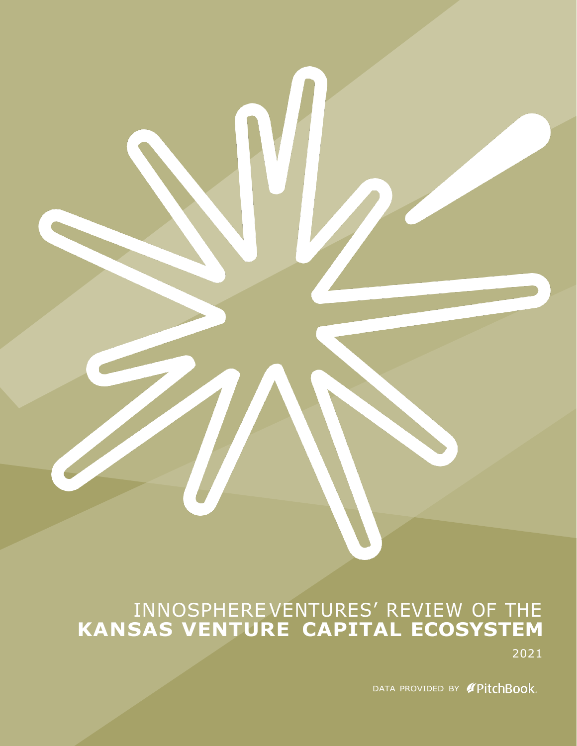# INNOSPHERE VENTURES' REVIEW OF THE **KANSAS VENTURE CAPITAL ECOSYSTEM**

2021

DATA PROVIDED BY **PitchBook**.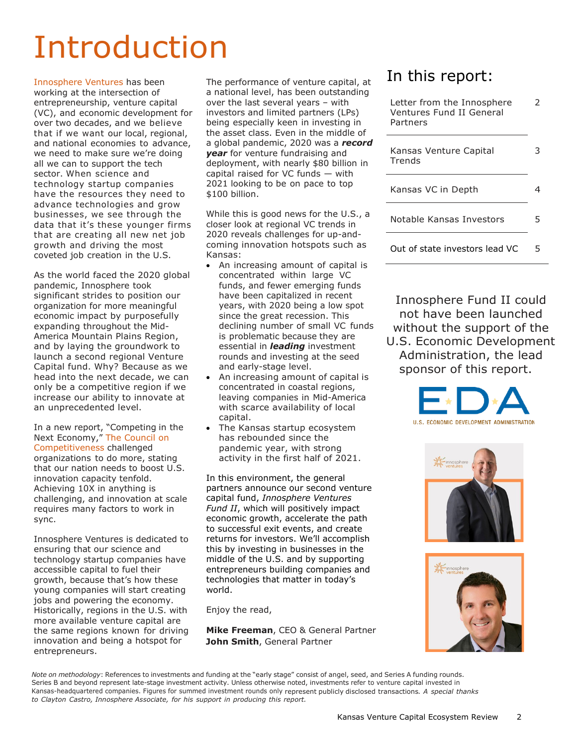# Introduction

[Innosphere Ventures h](https://innosphereventures.org/)as been working at the intersection of entrepreneurship, venture capital (VC), and economic development for over two decades, and we believe that if we want our local, regional, and national economies to advance, we need to make sure we're doing all we can to support the tech sector. When science and technology startup companies have the resources they need to advance technologies and grow businesses, we see through the data that it's these younger firms that are creating all new net job growth and driving the most coveted job creation in the U.S.

As the world faced the 2020 global pandemic, Innosphere took significant strides to position our organization for more meaningful economic impact by purposefully expanding throughout the Mid-America Mountain Plains Region, and by laying the groundwork to launch a second regional Venture Capital fund. Why? Because as we head into the next decade, we can only be a competitive region if we increase our ability to innovate at an unprecedented level.

In a new report, "Competing in the Next Economy," The [Council](https://www.compete.org/reports/all/3420) on [Competitiveness](https://www.compete.org/reports/all/3420) challenged organizations to do more, stating that our nation needs to boost U.S. innovation capacity tenfold. Achieving 10X in anything is challenging, and innovation at scale requires many factors to work in sync.

Innosphere Ventures is dedicated to ensuring that our science and technology startup companies have accessible capital to fuel their growth, because that's how these young companies will start creating jobs and powering the economy. Historically, regions in the U.S. with more available venture capital are the same regions known for driving innovation and being a hotspot for entrepreneurs.

The performance of venture capital, at a national level, has been outstanding over the last several years – with investors and limited partners (LPs) being especially keen in investing in the asset class. Even in the middle of a global pandemic, 2020 was a *record year* for venture fundraising and deployment, with nearly \$80 billion in capital raised for VC funds — with 2021 looking to be on pace to top \$100 billion.

While this is good news for the U.S., a closer look at regional VC trends in 2020 reveals challenges for up-andcoming innovation hotspots such as Kansas:

- An increasing amount of capital is concentrated within large VC funds, and fewer emerging funds have been capitalized in recent years, with 2020 being a low spot since the great recession. This declining number of small VC funds is problematic because they are essential in *leading* investment rounds and investing at the seed and early-stage level.
- An increasing amount of capital is concentrated in coastal regions, leaving companies in Mid-America with scarce availability of local capital.
- The Kansas startup ecosystem has rebounded since the pandemic year, with strong activity in the first half of 2021.

In this environment, the general partners announce our second venture capital fund, *Innosphere Ventures Fund II*, which will positively impact economic growth, accelerate the path to successful exit events, and create returns for investors. We'll accomplish this by investing in businesses in the middle of the U.S. and by supporting entrepreneurs building companies and technologies that matter in today's world.

Enjoy the read,

**Mike Freeman**, CEO & General Partner **John Smith**, General Partner

# In this report:

| Letter from the Innosphere<br>Ventures Fund II General<br>Partners |   |
|--------------------------------------------------------------------|---|
| Kansas Venture Capital<br>Trends                                   |   |
| Kansas VC in Depth                                                 |   |
| Notable Kansas Investors                                           | 5 |
| Out of state investors lead VC                                     |   |

Innosphere Fund II could not have been launched without the support of the U.S. Economic Development Administration, the lead sponsor of this report.







*Note on methodology*: References to investments and funding at the "early stage" consist of angel, seed, and Series A funding rounds. Series B and beyond represent late-stage investment activity. Unless otherwise noted, investments refer to venture capital invested in Kansas-headquartered companies. Figures for summed investment rounds only represent publicly disclosed transactions. *A special thanks to Clayton Castro, Innosphere Associate, for his support in producing this report.*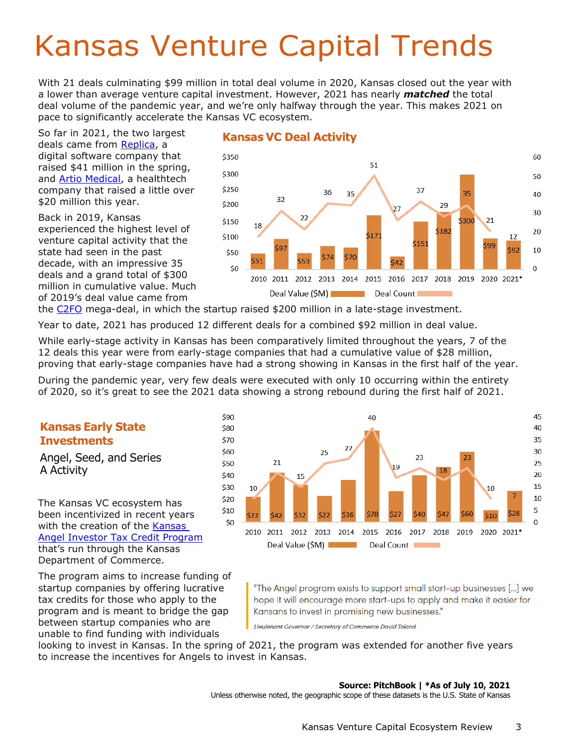# Kansas Venture Capital Trends

With 21 deals culminating \$99 million in total deal volume in 2020, Kansas closed out the year with a lower than average venture capital investment. However, 2021 has nearly *matched* the total deal volume of the pandemic year, and we're only halfway through the year. This makes 2021 on pace to significantly accelerate the Kansas VC ecosystem.

So far in 2021, the two largest deals came from [Replica,](https://replicahq.com/) a digital software company that raised \$41 million in the spring, and [Artio Medical,](https://artiomedical.com/) a healthtech company that raised a little over \$20 million this year.

Back in 2019, Kansas experienced the highest level of venture capital activity that the state had seen in the past decade, with an impressive 35 deals and a grand total of \$300 million in cumulative value. Much of 2019's deal value came from



## **Kansas VC Deal Activity**

the [C2FO](https://www.c2fo.com/amer/us/en-us) mega-deal, in which the startup raised \$200 million in a late-stage investment.

Year to date, 2021 has produced 12 different deals for a combined \$92 million in deal value.

While early-stage activity in Kansas has been comparatively limited throughout the years, 7 of the 12 deals this year were from early-stage companies that had a cumulative value of \$28 million, proving that early-stage companies have had a strong showing in Kansas in the first half of the year.

During the pandemic year, very few deals were executed with only 10 occurring within the entirety of 2020, so it's great to see the 2021 data showing a strong rebound during the first half of 2021.

# **Kansas Early State Investments**

Angel, Seed, and Series A Activity

The Kansas VC ecosystem has been incentivized in recent years with the creation of the Kansas [Angel Investor Tax Credit Program](https://www.kansascommerce.gov/program/taxes-and-financing/angels/) that's run through the Kansas Department of Commerce.

The program aims to increase funding of startup companies by offering lucrative tax credits for those who apply to the program and is meant to bridge the gap between startup companies who are unable to find funding with individuals



"The Angel program exists to support small start-up businesses [...] we hope it will encourage more start-ups to apply and make it easier for Kansans to invest in promising new businesses."

Lieutenant Governor / Secretary of Commerce David Toland

looking to invest in Kansas. In the spring of 2021, the program was extended for another five years to increase the incentives for Angels to invest in Kansas.

#### **Source: PitchBook | \*As of July 10, 2021**

Unless otherwise noted, the geographic scope of these datasets is the U.S. State of Kansas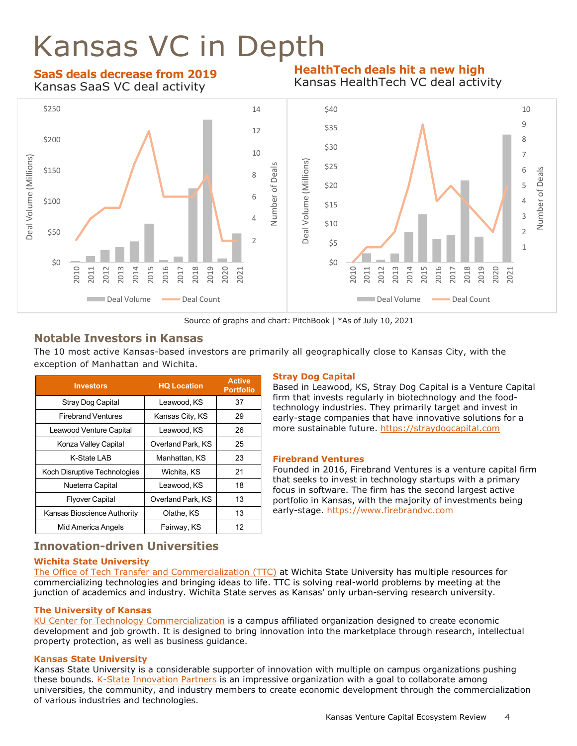# Kansas VC in Depth

### **SaaS deals decrease from 2019** Kansas SaaS VC deal activity

### **HealthTech deals hit a new high** Kansas HealthTech VC deal activity



Source of graphs and chart: PitchBook | \*As of July 10, 2021

# **Notable Investors in Kansas**

The 10 most active Kansas-based investors are primarily all geographically close to Kansas City, with the exception of Manhattan and Wichita.

| <b>Investors</b>             | <b>HQ Location</b> | <b>Active</b><br><b>Portfolio</b> |
|------------------------------|--------------------|-----------------------------------|
| Stray Dog Capital            | Leawood, KS        | 37                                |
| <b>Firebrand Ventures</b>    | Kansas City, KS    | 29                                |
| Leawood Venture Capital      | Leawood, KS        | 26                                |
| Konza Valley Capital         | Overland Park, KS  | 25                                |
| K-State LAB                  | Manhattan, KS      | 23                                |
| Koch Disruptive Technologies | Wichita, KS        | 21                                |
| Nueterra Capital             | Leawood, KS        | 18                                |
| <b>Flyover Capital</b>       | Overland Park, KS  | 13                                |
| Kansas Bioscience Authority  | Olathe, KS         | 13                                |
| Mid America Angels           | Fairway, KS        | 12                                |

### **Stray Dog Capital**

Based in Leawood, KS, Stray Dog Capital is a Venture Capital firm that invests regularly in biotechnology and the foodtechnology industries. They primarily target and invest in early-stage companies that have innovative solutions for a more sustainable future. [https://straydogcapital.com](https://straydogcapital.com/)

#### **Firebrand Ventures**

Founded in 2016, Firebrand Ventures is a venture capital firm that seeks to invest in technology startups with a primary focus in software. The firm has the second largest active portfolio in Kansas, with the majority of investments being early-stage. [https://www.firebrandvc.com](https://www.firebrandvc.com/)

# **Innovation-driven Universities**

### **Wichita State University**

[The Office of Tech Transfer and Commercialization \(TTC\)](https://www.wichita.edu/research/ttc/) at Wichita State University has multiple resources for commercializing technologies and bringing ideas to life. TTC is solving real-world problems by meeting at the junction of academics and industry. Wichita State serves as Kansas' only urban-serving research university.

### **The University of Kansas**

[KU Center for Technology Commercialization](http://ctc.ku.edu/) is a campus affiliated organization designed to create economic development and job growth. It is designed to bring innovation into the marketplace through research, intellectual property protection, as well as business guidance.

### **Kansas State University**

Kansas State University is a considerable supporter of innovation with multiple on campus organizations pushing these bounds. [K-State Innovation Partners](https://www.k-state.edu/research/industry/innovation-partners/) is an impressive organization with a goal to collaborate among universities, the community, and industry members to create economic development through the commercialization of various industries and technologies.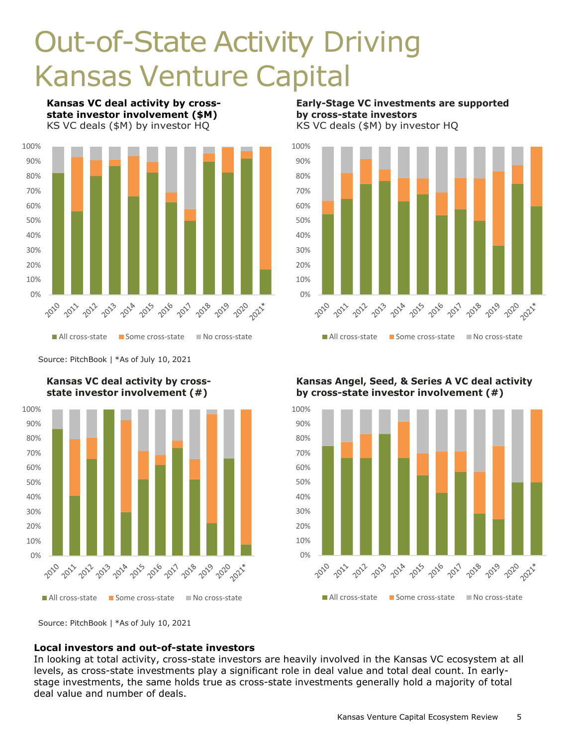# Out-of-State Activity Driving Kansas Venture Capital

**Kansas VC deal activity by crossstate investor involvement (\$M)** KS VC deals (\$M) by investor HQ



Source: PitchBook | \*As of July 10, 2021



**Kansas VC deal activity by crossstate investor involvement (#)**

**Early-Stage VC investments are supported by cross-state investors** KS VC deals (\$M) by investor HQ



**Kansas Angel, Seed, & Series A VC deal activity by cross-state investor involvement (#)**



### **Local investors and out-of-state investors**

In looking at total activity, cross-state investors are heavily involved in the Kansas VC ecosystem at all levels, as cross-state investments play a significant role in deal value and total deal count. In earlystage investments, the same holds true as cross-state investments generally hold a majority of total deal value and number of deals.

Source: PitchBook | \*As of July 10, 2021